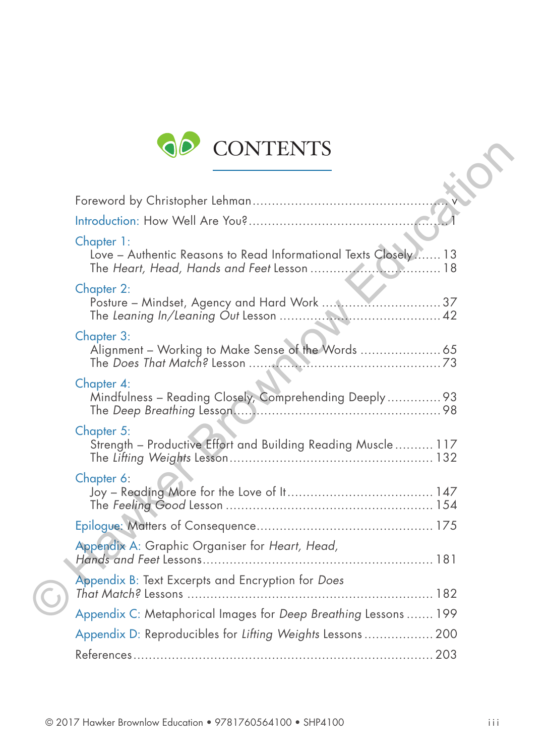

| <b>CONTENTS</b>                                                               |  |
|-------------------------------------------------------------------------------|--|
|                                                                               |  |
|                                                                               |  |
| Chapter 1:<br>Love - Authentic Reasons to Read Informational Texts Closely 13 |  |
| Chapter 2:<br>Posture - Mindset, Agency and Hard Work  37                     |  |
| Chapter 3:<br>Alignment - Working to Make Sense of the Words  65              |  |
| Chapter 4:<br>Mindfulness - Reading Closely, Comprehending Deeply 93          |  |
| Chapter 5:<br>Strength - Productive Effort and Building Reading Muscle 117    |  |
| Chapter 6:                                                                    |  |
|                                                                               |  |
| Appendix A: Graphic Organiser for Heart, Head,                                |  |
| Appendix B: Text Excerpts and Encryption for Does                             |  |
| Appendix C: Metaphorical Images for Deep Breathing Lessons  199               |  |
| Appendix D: Reproducibles for Lifting Weights Lessons 200                     |  |
|                                                                               |  |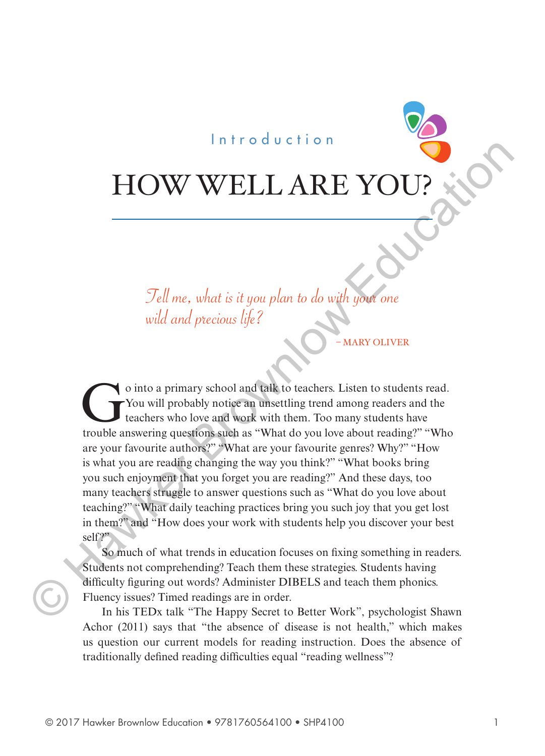#### Introduction

# HOW WELL ARE YOU

Tell me, what is it you plan to do with your one wild and precious life?

**MARY OLIVER** 

 $\bullet$  o into a primary school and talk to teachers. Listen to students read. You will probably notice an unsettling trend among readers and the teachers who love and work with them. Too many students have trouble answering questions such as "What do you love about reading?" "Who are your favourite authors?" "What are your favourite genres? Why?" "How is what you are reading changing the way you think?" "What books bring you such enjoyment that you forget you are reading?" And these days, too many teachers struggle to answer questions such as "What do you love about teaching?" "What daily teaching practices bring you such joy that you get lost in them?" and "How does your work with students help you discover your best self?" FOW WELL ARE YOU?<br>
Tell me, what is it you plan to do with you one<br>
wild and precious life?<br>
Tell me, what is it you plan to do with you one<br>
wild and precious life?<br>
Co into a primary school and talk to teachers. Listen t

So much of what trends in education focuses on fixing something in readers. Students not comprehending? Teach them these strategies. Students having difficulty figuring out words? Administer DIBELS and teach them phonics. Fluency issues? Timed readings are in order.

In his TEDx talk "The Happy Secret to Better Work", psychologist Shawn Achor (2011) says that "the absence of disease is not health," which makes us question our current models for reading instruction. Does the absence of traditionally defined reading difficulties equal "reading wellness"?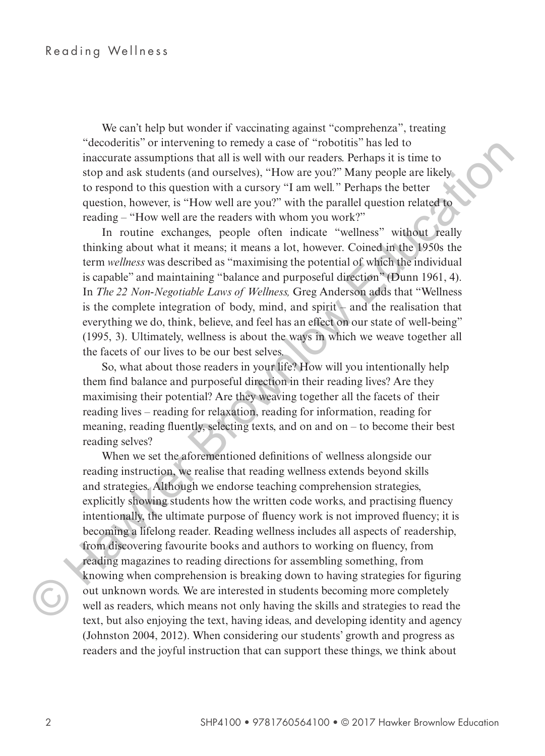We can't help but wonder if vaccinating against "comprehenza", treating "decoderitis" or intervening to remedy a case of "robotitis" has led to inaccurate assumptions that all is well with our readers. Perhaps it is time to stop and ask students (and ourselves), "How are you?" Many people are likely to respond to this question with a cursory "I am well*.*" Perhaps the better question, however, is "How well are you?" with the parallel question related to reading – "How well are the readers with whom you work?"

In routine exchanges, people often indicate "wellness" without really thinking about what it means; it means a lot, however. Coined in the 1950s the term *wellness* was described as "maximising the potential of which the individual is capable" and maintaining "balance and purposeful direction" (Dunn 1961, 4). In *The 22 Non-Negotiable Laws of Wellness,* Greg Anderson adds that "Wellness is the complete integration of body, mind, and spirit – and the realisation that everything we do, think, believe, and feel has an effect on our state of well-being" (1995, 3). Ultimately, wellness is about the ways in which we weave together all the facets of our lives to be our best selves.

So, what about those readers in your life? How will you intentionally help them find balance and purposeful direction in their reading lives? Are they maximising their potential? Are they weaving together all the facets of their reading lives – reading for relaxation, reading for information, reading for meaning, reading fluently, selecting texts, and on and on – to become their best reading selves?

When we set the aforementioned definitions of wellness alongside our reading instruction, we realise that reading wellness extends beyond skills and strategies. Although we endorse teaching comprehension strategies, explicitly showing students how the written code works, and practising fluency intentionally, the ultimate purpose of fluency work is not improved fluency; it is becoming a lifelong reader. Reading wellness includes all aspects of readership, from discovering favourite books and authors to working on fluency, from reading magazines to reading directions for assembling something, from knowing when comprehension is breaking down to having strategies for figuring out unknown words. We are interested in students becoming more completely well as readers, which means not only having the skills and strategies to read the text, but also enjoying the text, having ideas, and developing identity and agency (Johnston 2004, 2012). When considering our students' growth and progress as readers and the joyful instruction that can support these things, we think about "acconcerts" or interventing to remeable at easy at easy of the reaction is not to the traction in the reaction of the studies (and outselved). Thow are you?" Many popel are likely to respond to this question with a curso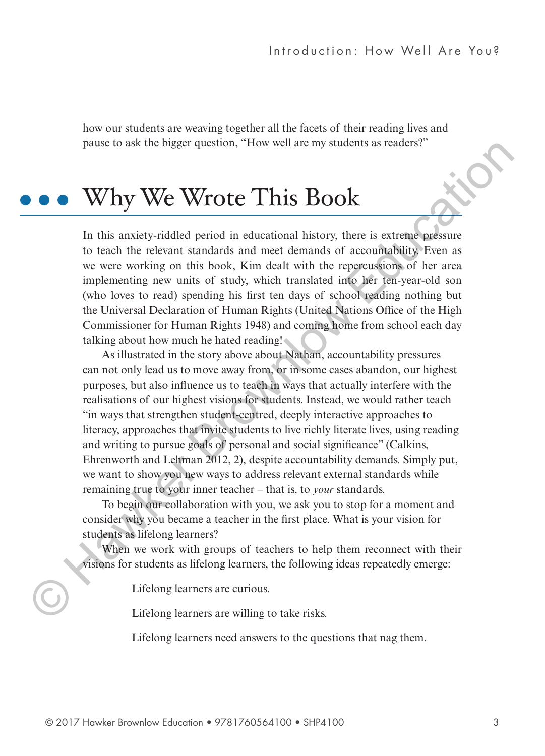how our students are weaving together all the facets of their reading lives and pause to ask the bigger question, "How well are my students as readers?"

### Why We Wrote This Book

In this anxiety-riddled period in educational history, there is extreme pressure to teach the relevant standards and meet demands of accountability. Even as we were working on this book, Kim dealt with the repercussions of her area implementing new units of study, which translated into her ten-year-old son (who loves to read) spending his first ten days of school reading nothing but the Universal Declaration of Human Rights (United Nations Office of the High Commissioner for Human Rights 1948) and coming home from school each day talking about how much he hated reading!

As illustrated in the story above about Nathan, accountability pressures can not only lead us to move away from, or in some cases abandon, our highest purposes, but also influence us to teach in ways that actually interfere with the realisations of our highest visions for students. Instead, we would rather teach "in ways that strengthen student-centred, deeply interactive approaches to literacy, approaches that invite students to live richly literate lives, using reading and writing to pursue goals of personal and social significance" (Calkins, Ehrenworth and Lehman 2012, 2), despite accountability demands. Simply put, we want to show you new ways to address relevant external standards while remaining true to your inner teacher – that is, to *your* standards. pause to ask the bigger question, "How well are my students as reades?"<br> **ONEXEMATIVE WARKER CONTIC CONTIC CONTIC CONTIC CONTIC CONTIC CONTIC TO THE SUPPLE TO A THE SUPPLE CONTIC TO A THE CONTIC SUPPLE TO A THE CONTIC INTE** 

To begin our collaboration with you, we ask you to stop for a moment and consider why you became a teacher in the first place. What is your vision for students as lifelong learners?

When we work with groups of teachers to help them reconnect with their visions for students as lifelong learners, the following ideas repeatedly emerge:

Lifelong learners are curious.

Lifelong learners are willing to take risks.

Lifelong learners need answers to the questions that nag them.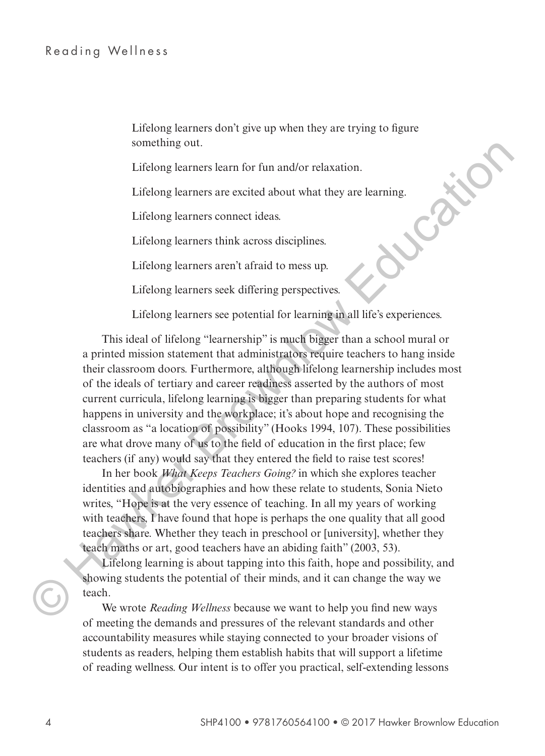Lifelong learners don't give up when they are trying to figure something out.

Lifelong learners learn for fun and/or relaxation.

Lifelong learners are excited about what they are learning.

Lifelong learners connect ideas.

Lifelong learners think across disciplines.

Lifelong learners aren't afraid to mess up.

Lifelong learners seek differing perspectives.

Lifelong learners see potential for learning in all life's experiences.

This ideal of lifelong "learnership" is much bigger than a school mural or a printed mission statement that administrators require teachers to hang inside their classroom doors. Furthermore, although lifelong learnership includes most of the ideals of tertiary and career readiness asserted by the authors of most current curricula, lifelong learning is bigger than preparing students for what happens in university and the workplace; it's about hope and recognising the classroom as "a location of possibility" (Hooks 1994, 107). These possibilities are what drove many of us to the field of education in the first place; few teachers (if any) would say that they entered the field to raise test scores! something out.<br>
Lifelong learners are excited about what they are learning.<br>
Lifelong learners are excited about what they are learning.<br>
Lifelong learners connect ideas.<br>
Lifelong learners connect ideas.<br>
Lifelong learner

In her book *What Keeps Teachers Going?* in which she explores teacher identities and autobiographies and how these relate to students, Sonia Nieto writes, "Hope is at the very essence of teaching. In all my years of working with teachers. I have found that hope is perhaps the one quality that all good teachers share. Whether they teach in preschool or [university], whether they teach maths or art, good teachers have an abiding faith" (2003, 53).

Lifelong learning is about tapping into this faith, hope and possibility, and showing students the potential of their minds, and it can change the way we teach.

We wrote *Reading Wellness* because we want to help you find new ways of meeting the demands and pressures of the relevant standards and other accountability measures while staying connected to your broader visions of students as readers, helping them establish habits that will support a lifetime of reading wellness. Our intent is to offer you practical, self-extending lessons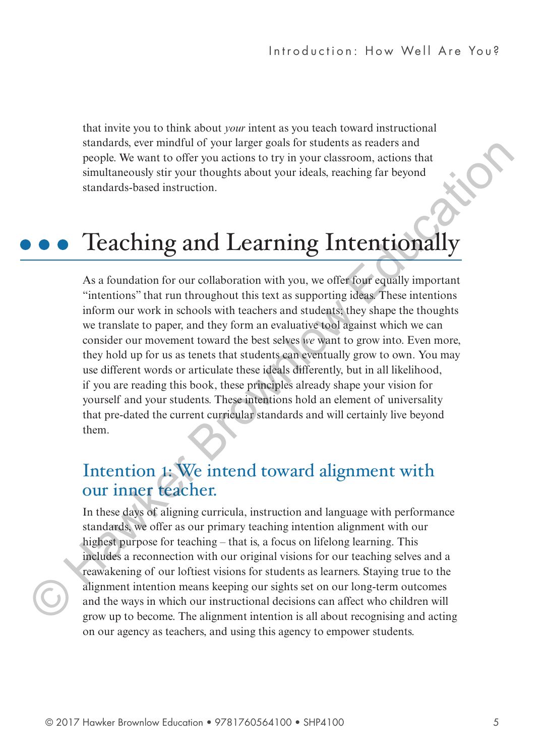that invite you to think about *your* intent as you teach toward instructional standards, ever mindful of your larger goals for students as readers and people. We want to offer you actions to try in your classroom, actions that simultaneously stir your thoughts about your ideals, reaching far beyond standards-based instruction.

## Teaching and Learning Intentionally

As a foundation for our collaboration with you, we offer four equally important "intentions" that run throughout this text as supporting ideas. These intentions inform our work in schools with teachers and students; they shape the thoughts we translate to paper, and they form an evaluative tool against which we can consider our movement toward the best selves *we* want to grow into. Even more, they hold up for us as tenets that students can eventually grow to own. You may use different words or articulate these ideals differently, but in all likelihood, if you are reading this book, these principles already shape your vision for yourself and your students. These intentions hold an element of universality that pre-dated the current curricular standards and will certainly live beyond them. standards, ever minutal of your larger goals for students as readers and<br>simultaneously stir your thoughts about your ideals, reaching far beyond<br>simultaneously stir your thoughts about your ideals, reaching far beyond<br>st

#### Intention **1**: We intend toward alignment with our inner teacher.

In these days of aligning curricula, instruction and language with performance standards, we offer as our primary teaching intention alignment with our highest purpose for teaching – that is, a focus on lifelong learning. This includes a reconnection with our original visions for our teaching selves and a reawakening of our loftiest visions for students as learners. Staying true to the alignment intention means keeping our sights set on our long-term outcomes and the ways in which our instructional decisions can affect who children will grow up to become. The alignment intention is all about recognising and acting  $\bigodot$   $\begin{matrix} a \\ a \\ s \end{matrix}$ on our agency as teachers, and using this agency to empower students.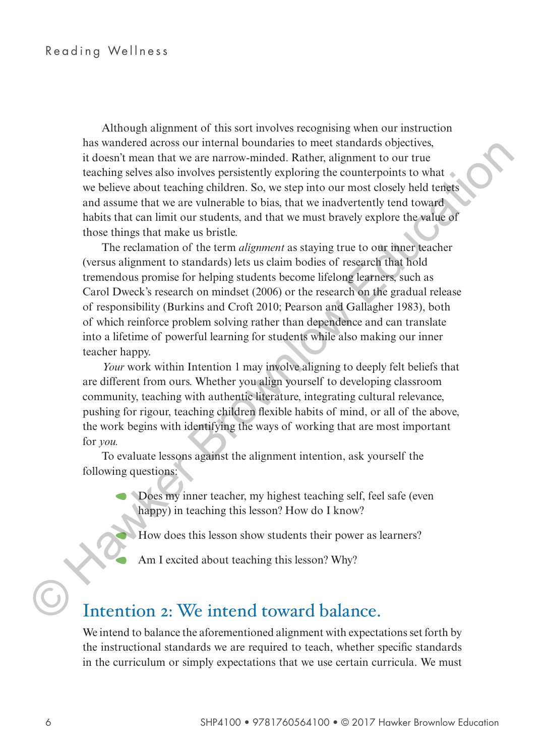Although alignment of this sort involves recognising when our instruction has wandered across our internal boundaries to meet standards objectives, it doesn't mean that we are narrow-minded. Rather, alignment to our true teaching selves also involves persistently exploring the counterpoints to what we believe about teaching children. So, we step into our most closely held tenets and assume that we are vulnerable to bias, that we inadvertently tend toward habits that can limit our students, and that we must bravely explore the value of those things that make us bristle.

The reclamation of the term *alignment* as staying true to our inner teacher (versus alignment to standards) lets us claim bodies of research that hold tremendous promise for helping students become lifelong learners, such as Carol Dweck's research on mindset (2006) or the research on the gradual release of responsibility (Burkins and Croft 2010; Pearson and Gallagher 1983), both of which reinforce problem solving rather than dependence and can translate into a lifetime of powerful learning for students while also making our inner teacher happy. ma wandered across our fineral to under<br>at one tand and the stead and the mean and the steady contributed continue to our true<br>techning sclose show box persistently exploring the counterpoints to what<br>we believe about tea

*Your* work within Intention 1 may involve aligning to deeply felt beliefs that are different from ours. Whether you align yourself to developing classroom community, teaching with authentic literature, integrating cultural relevance, pushing for rigour, teaching children flexible habits of mind, or all of the above, the work begins with identifying the ways of working that are most important for *you.*

To evaluate lessons against the alignment intention, ask yourself the following questions:

- <sup>A</sup> Does my inner teacher, my highest teaching self, feel safe (even happy) in teaching this lesson? How do I know?
	- <sup>A</sup> How does this lesson show students their power as learners?
	- Am I excited about teaching this lesson? Why?

#### Intention 2: We intend toward balance.

We intend to balance the aforementioned alignment with expectations set forth by the instructional standards we are required to teach, whether specific standards in the curriculum or simply expectations that we use certain curricula. We must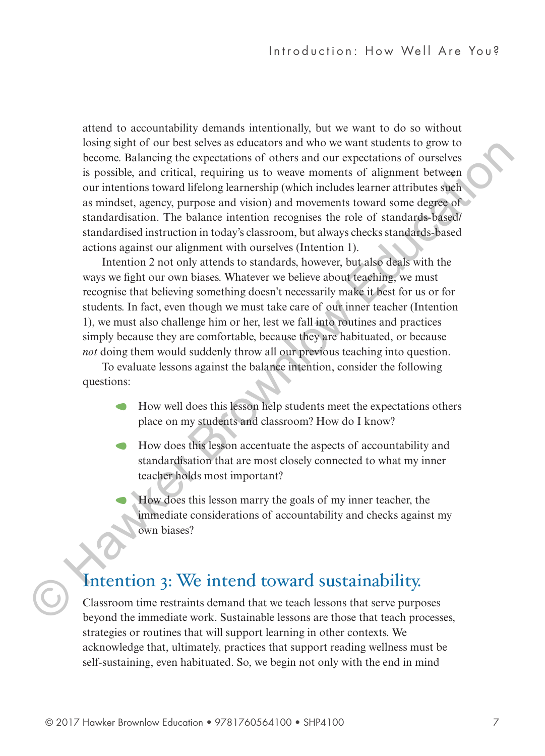attend to accountability demands intentionally, but we want to do so without losing sight of our best selves as educators and who we want students to grow to become. Balancing the expectations of others and our expectations of ourselves is possible, and critical, requiring us to weave moments of alignment between our intentions toward lifelong learnership (which includes learner attributes such as mindset, agency, purpose and vision) and movements toward some degree of standardisation. The balance intention recognises the role of standards-based/ standardised instruction in today's classroom, but always checks standards-based actions against our alignment with ourselves (Intention 1). osing agito to our test sites are stocked is an whole was an an whore the investigation of our state and we are the system is possible, and critical requiring its to weare moments of alignment between the interest our inte

Intention 2 not only attends to standards, however, but also deals with the ways we fight our own biases. Whatever we believe about teaching, we must recognise that believing something doesn't necessarily make it best for us or for students. In fact, even though we must take care of our inner teacher (Intention 1), we must also challenge him or her, lest we fall into routines and practices simply because they are comfortable, because they are habituated, or because *not* doing them would suddenly throw all our previous teaching into question.

To evaluate lessons against the balance intention, consider the following questions:

- <sup>A</sup> How well does this lesson help students meet the expectations others place on my students and classroom? How do I know?
- <sup>A</sup> How does this lesson accentuate the aspects of accountability and standardisation that are most closely connected to what my inner teacher holds most important?
	- <sup>A</sup> How does this lesson marry the goals of my inner teacher, the immediate considerations of accountability and checks against my own biases?

#### Intention 3: We intend toward sustainability.

Classroom time restraints demand that we teach lessons that serve purposes beyond the immediate work. Sustainable lessons are those that teach processes, strategies or routines that will support learning in other contexts. We acknowledge that, ultimately, practices that support reading wellness must be self-sustaining, even habituated. So, we begin not only with the end in mind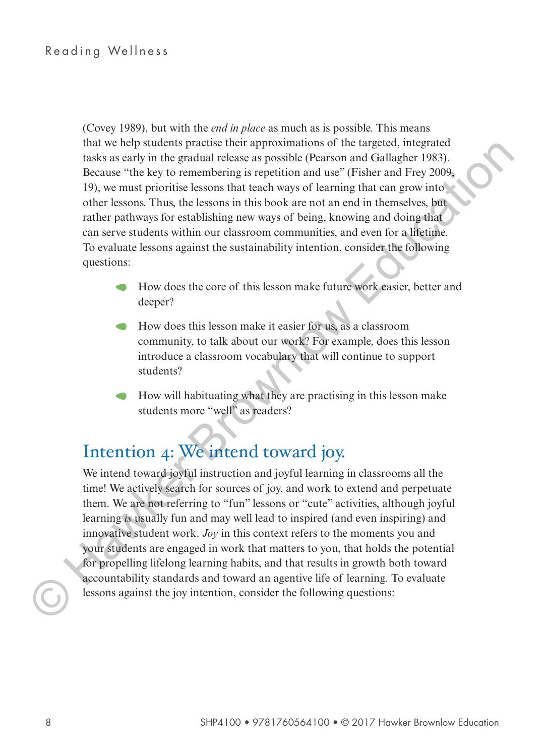(Covey 1989), but with the *end in place* as much as is possible. This means that we help students practise their approximations of the targeted, integrated tasks as early in the gradual release as possible (Pearson and Gallagher 1983). Because "the key to remembering is repetition and use" (Fisher and Frey 2009, 19), we must prioritise lessons that teach ways of learning that can grow into other lessons. Thus, the lessons in this book are not an end in themselves, but rather pathways for establishing new ways of being, knowing and doing that can serve students within our classroom communities, and even for a lifetime. To evaluate lessons against the sustainability intention, consider the following questions:

- <sup>A</sup> How does the core of this lesson make future work easier, better and deeper?
- <sup>A</sup> How does this lesson make it easier for us, as a classroom community, to talk about our work? For example, does this lesson introduce a classroom vocabulary that will continue to support students?
- <sup>A</sup> How will habituating what they are practising in this lesson make students more "well" as readers?

### Intention 4: We intend toward joy.

We intend toward joyful instruction and joyful learning in classrooms all the time! We actively search for sources of joy, and work to extend and perpetuate them. We are not referring to "fun" lessons or "cute" activities, although joyful learning *is* usually fun and may well lead to inspired (and even inspiring) and innovative student work. *Joy* in this context refers to the moments you and your students are engaged in work that matters to you, that holds the potential for propelling lifelong learning habits, and that results in growth both toward accountability standards and toward an agentive life of learning. To evaluate lessons against the joy intention, consider the following questions: that we hap such as the responsation of the trageted, integrated the matter and the states as so ratio and callalate 1983).<br>
Because "the ky to remembering is reptition and we" (Fisher and Fry 2009, 19), we must prioritie